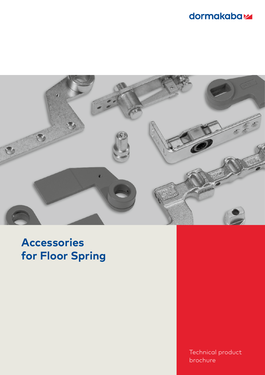# dormakabaz



# **Accessories for Floor Spring**

Technical product brochure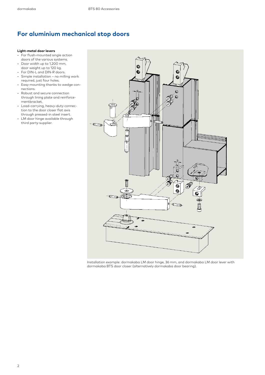### **For aluminium mechanical stop doors**

#### **Light-metal door levers**

- For flush-mounted single action doors of the various systems.
- Door width up to 1,200 mm, door weight up to 120 kg.
- For DIN-L and DIN-R doors.
- Simple installation no milling work required, just four holes.
- Easy mounting thanks to wedge connections.
- Robust and secure connection through lining plate and reinforcementbracket.
- Load-carrying, heavy-duty connection to the door closer flat axis through pressed-in steel insert.
- LM door hinge available through third party supplier.



Installation example: dormakaba LM door hinge, 36 mm, and dormakaba LM door lever with dormakaba BTS door closer (alternatively dormakaba door bearing).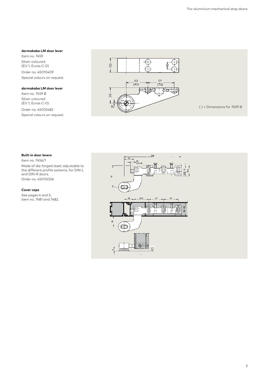#### **dormakaba LM door lever**

Item no. 7459 Silver-coloured (EV 1, Euras C-0)

Order no. 45010409 Special colours on request.

#### **dormakaba LM door lever**

Item no. 7459 B Silver-coloured (EV 1, Euras C-0) Order no. 45010482 Special colours on request.



#### **Built-in door levers**

Item no. 7456/1 Made of die-forged steel; adjustable to the different profile systems, for DIN-L and DIN-R doors. Order no. 45010006

#### **Cover caps**

See pages 4 and 5, item no. 7481 and 7482.

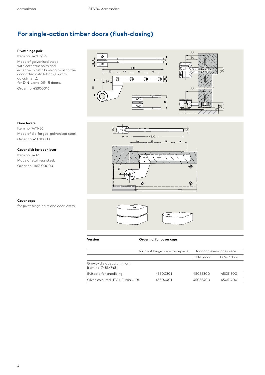## **For single-action timber doors (flush-closing)**

#### **Pivot hinge pair**

Item no. 7411 K/56 Made of galvanised steel; with eccentric bolts and eccentric plastic bushing to align the door after installation (± 2 mm adjustment); for DIN-L and DIN-R doors. Order no. 45300016





#### **Door levers**

Item no. 7411/56 Made of die-forged, galvanised steel. Order no. 45010003

#### **Cover disk for door lever**

Item no. 7432 Made of stainless steel. Order no. 1167100000



#### **Cover caps**

for pivot hinge pairs and door levers



**Version Order no. for cover caps**

|                                                  | for pivot hinge pairs, two-piece | for door levers, one-piece |            |  |
|--------------------------------------------------|----------------------------------|----------------------------|------------|--|
|                                                  |                                  | $DIN-L$ door               | DIN-R door |  |
| Gravity die-cast aluminium<br>Item no. 7483/7481 |                                  |                            |            |  |
| Suitable for anodizing                           | 45500301                         | 45055300                   | 45051300   |  |
| Silver-coloured (EV 1, Euras C-0)                | 45500401                         | 45055400                   | 45051400   |  |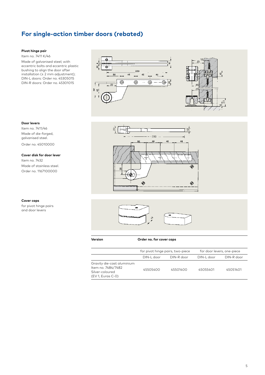## **For single-action timber doors (rebated)**

#### **Pivot hinge pair**

Item no. 7411 K/46 Made of galvanised steel; with eccentric bolts and eccentric plastic bushing to align the door after installation ( $\pm 2$  mm adjustment); DIN-L doors: Order no. 45305015 DIN-R doors: Order no. 45301015





#### **Door levers**

Item no. 7411/46 Made of die-forged, galvanised steel. Order no. 45010000

#### **Cover disk for door lever**

Item no. 7432 Made of stainless steel. Order no. 1167100000



#### **Cover caps**

for pivot hinge pairs and door levers



**Version Order no. for cover caps**

|                                                                                          | for pivot hinge pairs, two-piece |            | for door levers, one-piece |            |  |
|------------------------------------------------------------------------------------------|----------------------------------|------------|----------------------------|------------|--|
|                                                                                          | DIN-L door                       | DIN-R door | $DIN-L$ door               | DIN-R door |  |
| Gravity die-cast aluminium<br>Item no. 7484/7482<br>Silver-coloured<br>(EV 1, Euras C-0) | 45505400                         | 45501400   | 45055401                   | 45051401   |  |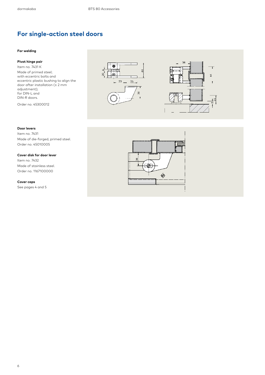## **For single-action steel doors**

#### **For welding**

### **Pivot hinge pair**

Item no. 7431 K Made of primed steel; with eccentric bolts and eccentric plastic bushing to align the door after installation (± 2 mm adjustment); for DIN-L and DIN-R doors.





### **Door levers**

Order no. 45300012

Item no. 7431 Made of die-forged, primed steel. Order no. 45010005

#### **Cover disk for door lever**

Item no. 7432 Made of stainless steel. Order no. 1167100000

#### **Cover caps**

See pages 4 and 5

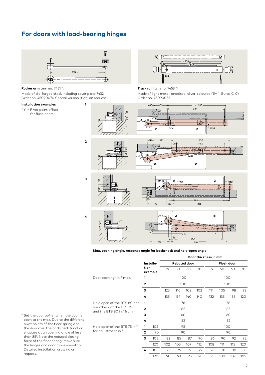### **For doors with load-bearing hinges**



**1**

**2**

**3**

**Rocker arm**Item no. 7451 N

Made of die-forged steel, including cover plate 7432. Order no. 45090070 Special version (flat) on request.

#### **Installation examples**

( )\* = Pivot point offset for flush doors



#### **Track rail** Item no. 7453 N

Made of light metal, anodised, silver-coloured (EV 1, Euras C-0). Order no. 45090053









#### **Max. opening angle, response angle for backcheck and hold-open angle**

|                                                                                    | Installa-<br>tion<br>example |     | Door thickness in mm |     |     |            |     |     |     |     |
|------------------------------------------------------------------------------------|------------------------------|-----|----------------------|-----|-----|------------|-----|-----|-----|-----|
|                                                                                    |                              |     | <b>Rebated door</b>  |     |     | Flush door |     |     |     |     |
|                                                                                    |                              |     | 39                   | 50  | 60  | 70         | 39  | 50  | 60  | 70  |
| Door opening* in °, max.                                                           | 1                            |     | 100                  |     |     |            | 100 |     |     |     |
| $\overline{2}$                                                                     |                              |     | 100                  |     |     | 100        |     |     |     |     |
|                                                                                    | 3                            |     | 125                  | 116 | 108 | 102        | 114 | 105 | 98  | 92  |
|                                                                                    | 4                            |     | 135                  | 137 | 140 | <b>140</b> | 132 | 135 | 135 | 120 |
| Hold open of the BTS 80 and<br>backcheck of the BTS 75<br>and the BTS 80 in ° from | 1                            |     | 78                   |     |     | 78         |     |     |     |     |
|                                                                                    | $\overline{2}$               |     | 85                   |     |     | 85         |     |     |     |     |
|                                                                                    | 3                            |     |                      |     | 60  |            |     |     | 60  |     |
|                                                                                    | 4                            |     |                      |     | 52  |            |     |     | 52  |     |
| Hold open of the BTS 75 in °<br>for adjustment in °                                | 1                            | 105 | 95                   |     |     | 100        |     |     |     |     |
|                                                                                    | $\overline{2}$               | 90  | 90                   |     |     | 90         |     |     |     |     |
|                                                                                    | 3                            | 105 | 83                   | 85  | 87  | 90         | 86  | 90  | 92  | 95  |
|                                                                                    |                              | 120 | 102                  | 105 | 107 | 112        | 108 | 111 | 115 | 120 |
|                                                                                    | 4                            | 105 | 73                   | 75  | 77  | 79         | 76  | 78  | 80  | 83  |
|                                                                                    |                              | 120 | 90                   | 93  | 95  | 98         | 95  | 100 | 102 | 105 |

\* Set the door buffer when the door is open to the max. Due to the different pivot points of the floor spring and the door axis, the backcheck function engages at an opening angle of less than 85°. Note the reduced closing force of the floor spring; make sure the hinges and door move smoothly. Detailed installation drawing on request.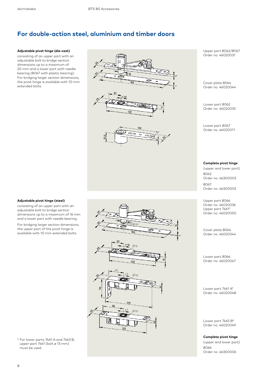### **For double-action steel, aluminium and timber doors**

#### **Adjustable pivot hinge (die-cast)**

consisting of an upper part with an adjustable bolt to bridge section dimensions up to a maximum of 20 mm and a lower part with needle bearing (8067 with plastic bearing). For bridging larger section dimensions, the pivot hinge is available with 10 mm extended bolts.



 $\frac{6}{15}$ /0 13\*

Ø 15

Upper part 8062/8067 Order no. 46020031

Cover plate 8064 Order no. 46020044

Lower part 8062 Order no. 46020033

Lower part 8067 Order no. 46020011

#### **Complete pivot hinge**

(upper and lower part) 8062 Order no. 46300003 8067 Order no. 46300005

Upper part 8066 Order no. 46020036 Upper part 7461\* Order no. 46020050

Cover plate 8064 Order no. 46020044

Lower part 8066 Order no. 46020047

Lower part 7461 A\* Order no. 46020048

Lower part 7463 B\* Order no. 46020049

**Complete pivot hinge**

(upper and lower part) 8066 Order no. 46300006

#### **Adjustable pivot hinge (steel)**

consisting of an upper part with an adjustable bolt to bridge section dimensions up to a maximum of 16 mm and a lower part with needle bearing.

For bridging larger section dimensions, the upper part of the pivot hinge is available with 10 mm extended bolts.



\* For lower parts 7461 A and 7463 B, upper part 7461 (bolt ø 13 mm) must be used.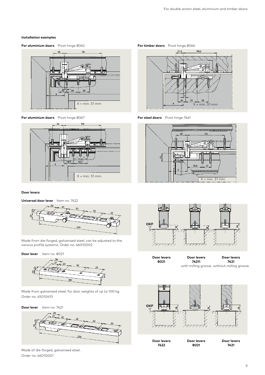#### **Installation examples**

#### **For aluminium doors** Pivot hinge 8062 **For timber doors** Pivot hinge 8066



#### **For aluminium doors** Pivot hinge 8067 **For steel doors** Pivot hinge 7461



#### **Door levers**

**Universal door lever** Item no. 7422



Made from die-forged, galvanised steel; can be adjusted to the various profile systems. Order no. 46010002

#### **Door lever** Item no. 8021



Made from galvanised steel; for door weights of up to 100 kg. Order no. 45010410





Made of die-forged, galvanised steel. Order no. 46010001







**Door levers 8021 Door levers 74211** with milling groove without milling groove **Door levers 7421**

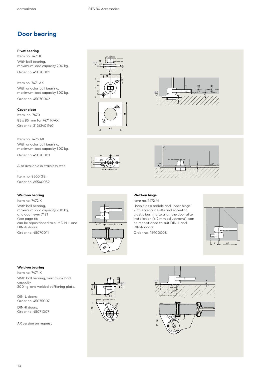### **Door bearing**

#### **Pivot bearing**

Item no. 7471 K With ball bearing, maximum load capacity 200 kg. Order no. 45070001

Item no. 7471 AX With angular ball bearing, maximum load capacity 300 kg. Order no. 45070002

#### **Cover plate**

Item. no. 7470 85 x 85 mm for 7471 K/AX Order no. 21262401140

Item no. 7475 AX With angular ball bearing, maximum load capacity 300 kg.

Order no. 45070003

Also available in stainless steel . Item no. 8560 GE. Order no. 65540059

#### **Weld-on bearing**

Item no. 7472 K With ball bearing, maximum load capacity 200 kg, and door lever 7431 (see page 6); can be repositioned to suit DIN-L and DIN-R doors. Order no. 45070011

68



#### **Weld-on hinge**

Item no. 7472 M

Usable as a middle and upper hinge; with eccentric bolts and eccentric plastic bushing to align the door after installation (± 2 mm adjustment); can be repositioned to suit DIN-L and DIN-R doors.

OKF

Order no. 45900008



#### **Weld-on bearing**

Item no. 7474 K With ball bearing, maximum load capacity 200 kg, and welded stiffening plate.

DIN-L doors: Order no. 45075007

DIN-R doors: Order no. 45071007

AX version on request







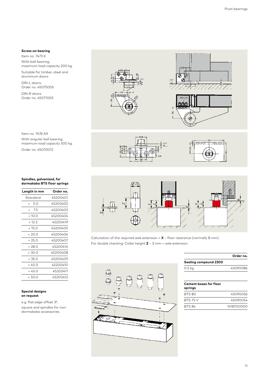#### **Screw-on bearing**

Item no. 7473 K With ball bearing, maximum load capacity 200 kg.

Suitable for timber, steel and aluminium doors.

DIN-L doors: Order no. 45075005

DIN-R doors: Order no. 45071005





Item no. 7476 AX With angular ball bearing, maximum load capacity 300 kg.

Order no. 45070012

#### **Spindles, galvanised, for dormakaba BTS floor springs**

| Length in mm | Order no. |
|--------------|-----------|
| Standard     | 45200401  |
| + 50         | 45200402  |
| + 7.5        | 45200403  |
| $+10.0$      | 45200404  |
| $+12.5$      | 45200419  |
| $+15.0$      | 45200405  |
| $+20.0$      | 45200406  |
| $+250$       | 45200407  |
| + 28 0       | 45200414  |
| + 30 0       | 45200408  |
| + 35 0       | 45200409  |
| + 40 0       | 45200410  |
| + 45 0       | 45200411  |
| $+500$       | 45200412  |
|              |           |

#### **Special designs on request**

e.g. flat edge offset 3°, square and spindles for nondormakaba accessories.





Calculation of the required axle extension = **X** – floor clearance (normally 8 mm) For double checking: Collar height **Z** – 3 mm = axle extension



|                       | Order no. |
|-----------------------|-----------|
| Sealing compound 2300 |           |
| 0.5 <sub>kq</sub>     | 45090086  |
|                       |           |

### **Cement boxes for floor**

| springs         |            |
|-----------------|------------|
| BTS 80          | 45090056   |
| <b>BTS 75 V</b> | 45090054   |
| <b>BTS 84</b>   | 1418700000 |
|                 |            |